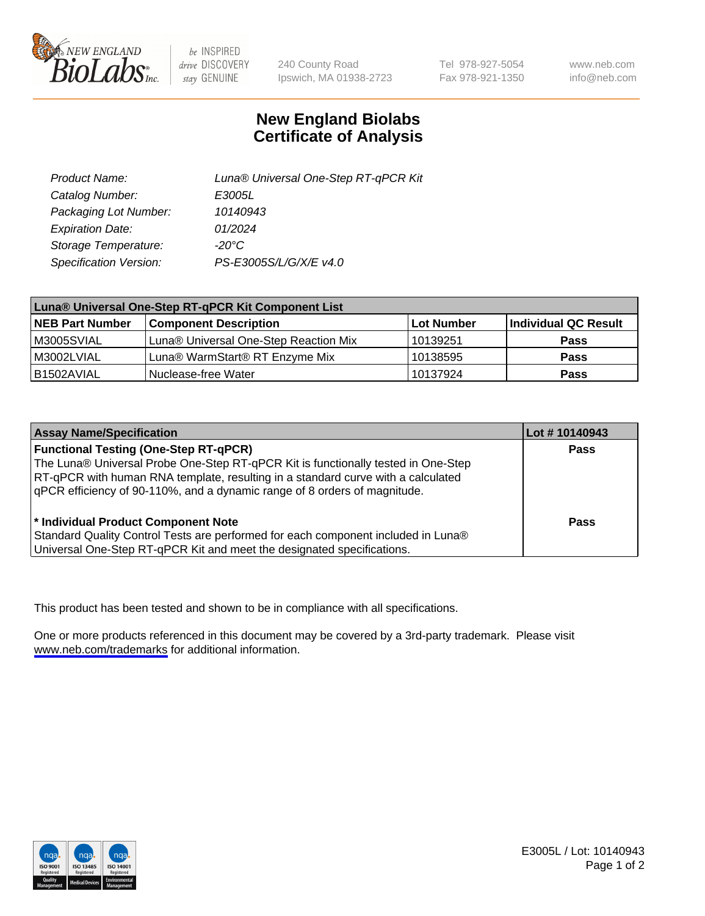

be INSPIRED drive DISCOVERY stay GENUINE

240 County Road Ipswich, MA 01938-2723 Tel 978-927-5054 Fax 978-921-1350

www.neb.com info@neb.com

## **New England Biolabs Certificate of Analysis**

| Product Name:           | Luna® Universal One-Step RT-qPCR Kit |
|-------------------------|--------------------------------------|
| Catalog Number:         | E3005L                               |
| Packaging Lot Number:   | 10140943                             |
| <b>Expiration Date:</b> | 01/2024                              |
| Storage Temperature:    | $-20^{\circ}$ C                      |
| Specification Version:  | PS-E3005S/L/G/X/E v4.0               |

| Luna® Universal One-Step RT-qPCR Kit Component List |                                       |            |                      |  |
|-----------------------------------------------------|---------------------------------------|------------|----------------------|--|
| <b>NEB Part Number</b>                              | <b>Component Description</b>          | Lot Number | Individual QC Result |  |
| M3005SVIAL                                          | Luna® Universal One-Step Reaction Mix | 10139251   | Pass                 |  |
| M3002LVIAL                                          | Luna® WarmStart® RT Enzyme Mix        | 10138595   | <b>Pass</b>          |  |
| B1502AVIAL                                          | Nuclease-free Water                   | 10137924   | <b>Pass</b>          |  |

| <b>Assay Name/Specification</b>                                                   | Lot # 10140943 |
|-----------------------------------------------------------------------------------|----------------|
| <b>Functional Testing (One-Step RT-qPCR)</b>                                      | <b>Pass</b>    |
| The Luna® Universal Probe One-Step RT-qPCR Kit is functionally tested in One-Step |                |
| RT-qPCR with human RNA template, resulting in a standard curve with a calculated  |                |
| gPCR efficiency of 90-110%, and a dynamic range of 8 orders of magnitude.         |                |
|                                                                                   |                |
| <sup>*</sup> Individual Product Component Note                                    | Pass           |
| Standard Quality Control Tests are performed for each component included in Luna® |                |
| Universal One-Step RT-qPCR Kit and meet the designated specifications.            |                |

This product has been tested and shown to be in compliance with all specifications.

One or more products referenced in this document may be covered by a 3rd-party trademark. Please visit <www.neb.com/trademarks>for additional information.